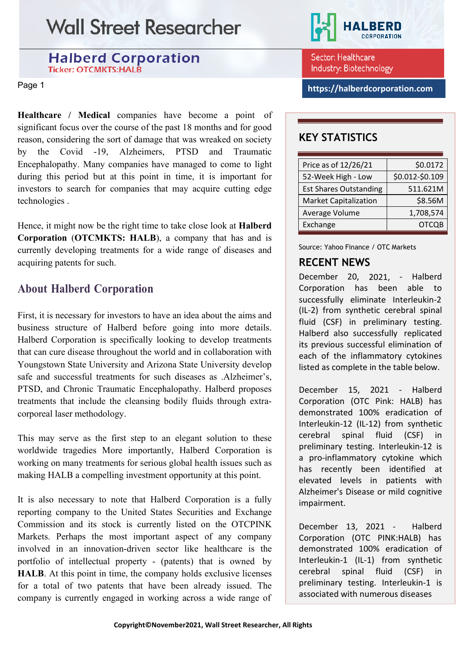**Halberd Corporation Ticker: OTCMKTS:HALB** 

**Healthcare / Medical** companies have become a point of significant focus over the course of the past 18 months and for good reason, considering the sort of damage that was wreaked on society by the Covid -19, Alzheimers, PTSD and Traumatic Encephalopathy. Many companies have managed to come to light during this period but at this point in time, it is important for investors to search for companies that may acquire cutting edge technologies .

Hence, it might now be the right time to take close look at **Halberd Corporation** (**OTCMKTS: HALB**), a company that has and is currently developing treatments for a wide range of diseases and acquiring patents for such.

### **About Halberd Corporation**

First, it is necessary for investors to have an idea about the aims and business structure of Halberd before going into more details. Halberd Corporation is specifically looking to develop treatments that can cure disease throughout the world and in collaboration with Youngstown State University and Arizona State University develop safe and successful treatments for such diseases as .Alzheimer's, PTSD, and Chronic Traumatic Encephalopathy. Halberd proposes treatments that include the cleansing bodily fluids through extracorporeal laser methodology.

This may serve as the first step to an elegant solution to these worldwide tragedies More importantly, Halberd Corporation is working on many treatments for serious global health issues such as making HALB a compelling investment opportunity at this point.

It is also necessary to note that Halberd Corporation is a fully reporting company to the United States Securities and Exchange Commission and its stock is currently listed on the OTCPINK Markets. Perhaps the most important aspect of any company involved in an innovation-driven sector like healthcare is the portfolio of intellectual property - (patents) that is owned by **HALB**. At this point in time, the company holds exclusive licenses for a total of two patents that have been already issued. The company is currently engaged in working across a wide range of



Sector: Healthcare Industry: Biotechnology

Page <sup>1</sup> **[https://halberdcorporation.com](https://halberdcorporation.com/)**

### **KEY STATISTICS**

| Price as of 12/26/21          | \$0.0172        |
|-------------------------------|-----------------|
| 52-Week High - Low            | \$0.012-\$0.109 |
| <b>Est Shares Outstanding</b> | 511.621M        |
| <b>Market Capitalization</b>  | \$8.56M         |
| Average Volume                | 1,708,574       |
| Exchange                      | OTCOB           |

Source: Yahoo Finance / OTC Markets

### **RECENT NEWS**

December 20, 2021, - Halberd Corporation has been able to successfully eliminate Interleukin-2 (IL-2) from synthetic cerebral spinal fluid (CSF) in preliminary testing. Halberd also successfully replicated its previous successful elimination of each of the inflammatory cytokines listed as complete in the table below.

December 15, 2021 - Halberd Corporation (OTC Pink: HALB) has demonstrated 100% eradication of Interleukin-12 (IL-12) from synthetic cerebral spinal fluid (CSF) in preliminary testing. Interleukin-12 is a pro-inflammatory cytokine which has recently been identified at elevated levels in patients with Alzheimer's Disease or mild cognitive impairment.

December 13, 2021 - Halberd Corporation (OTC PINK:HALB) has demonstrated 100% eradication of Interleukin-1 (IL-1) from synthetic cerebral spinal fluid (CSF) in preliminary testing. Interleukin-1 is associated with numerous diseases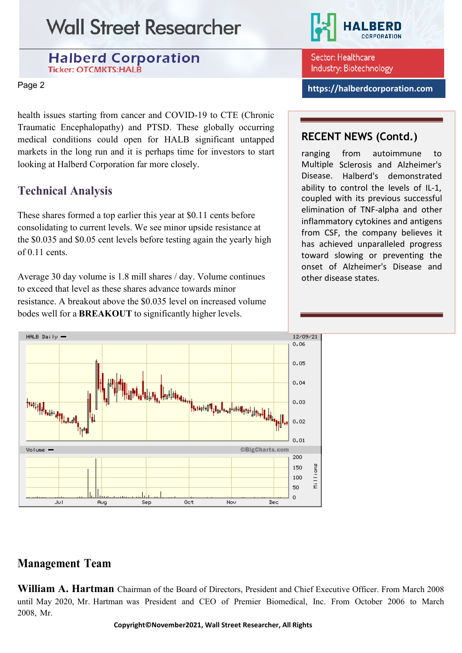#### **Halberd Corporation Ticker: OTCMKTS:HALB**

health issues starting from cancer and COVID-19 to CTE (Chronic Traumatic Encephalopathy) and PTSD. These globally occurring medical conditions could open for HALB significant untapped markets in the long run and it is perhaps time for investors to start looking at Halberd Corporation far more closely.

## **Technical Analysis**

These shares formed a top earlier this year at \$0.11 cents before consolidating to current levels. We see minor upside resistance at the \$0.035 and \$0.05 cent levels before testing again the yearly high of 0.11 cents.

Average 30 day volume is 1.8 mill shares / day. Volume continues to exceed that level as these shares advance towards minor resistance. A breakout above the \$0.035 level on increased volume bodes well for a **BREAKOUT** to significantly higher levels.





Sector: Healthcare Industry: Biotechnology

Page <sup>2</sup> **[https://halberdcorporation.com](https://halberdcorporation.com/)**

## **RECENT NEWS (Contd.)**

ranging Multiple Sclerosis and Alzheimer's Disease. Halberd's demonstrated from autoimmune to ability to control the levels of IL-1, coupled with its previous successful elimination of TNF-alpha and other inflammatory cytokines and antigens from CSF, the company believes it has achieved unparalleled progress toward slowing or preventing the onset of Alzheimer's Disease and other disease states.

## **Management Team**

**William A. Hartman** Chairman of the Board of Directors, President and Chief Executive Officer. From March 2008 until May 2020, Mr. Hartman was President and CEO of Premier Biomedical, Inc. From October 2006 to March 2008, Mr.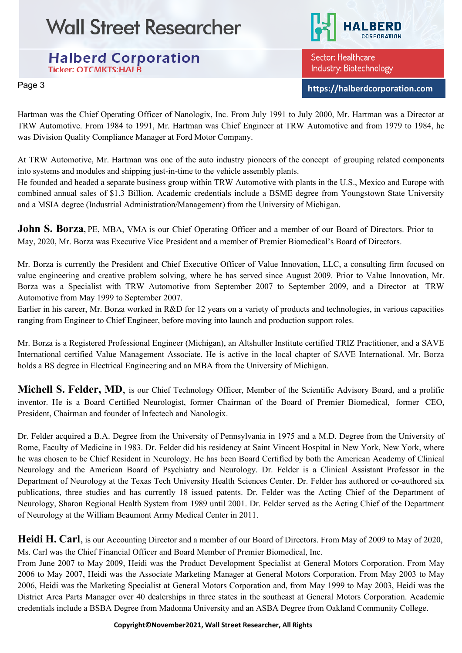**Halberd Corporation Ticker: OTCMKTS:HALB** 



Sector: Healthcare Industry: Biotechnology

Page <sup>3</sup> **[https://halberdcorporation.com](https://halberdcorporation.com/)**

Hartman was the Chief Operating Officer of Nanologix, Inc. From July 1991 to July 2000, Mr. Hartman was a Director at TRW Automotive. From 1984 to 1991, Mr. Hartman was Chief Engineer at TRW Automotive and from 1979 to 1984, he was Division Quality Compliance Manager at Ford Motor Company.

At TRW Automotive, Mr. Hartman was one of the auto industry pioneers of the concept of grouping related components into systems and modules and shipping just-in-time to the vehicle assembly plants.

He founded and headed a separate business group within TRW Automotive with plants in the U.S., Mexico and Europe with combined annual sales of \$1.3 Billion. Academic credentials include a BSME degree from Youngstown State University and a MSIA degree (Industrial Administration/Management) from the University of Michigan.

**John S. Borza,** PE, MBA, VMA is our Chief Operating Officer and a member of our Board of Directors. Prior to May, 2020, Mr. Borza was Executive Vice President and a member of Premier Biomedical's Board of Directors.

Mr. Borza is currently the President and Chief Executive Officer of Value Innovation, LLC, a consulting firm focused on value engineering and creative problem solving, where he has served since August 2009. Prior to Value Innovation, Mr. Borza was a Specialist with TRW Automotive from September 2007 to September 2009, and a Director at TRW Automotive from May 1999 to September 2007.

Earlier in his career, Mr. Borza worked in R&D for 12 years on a variety of products and technologies, in various capacities ranging from Engineer to Chief Engineer, before moving into launch and production support roles.

Mr. Borza is a Registered Professional Engineer (Michigan), an Altshuller Institute certified TRIZ Practitioner, and a SAVE International certified Value Management Associate. He is active in the local chapter of SAVE International. Mr. Borza holds a BS degree in Electrical Engineering and an MBA from the University of Michigan.

**Michell S. Felder, MD**, is our Chief Technology Officer, Member of the Scientific Advisory Board, and a prolific inventor. He is a Board Certified Neurologist, former Chairman of the Board of Premier Biomedical, former CEO, President, Chairman and founder of Infectech and Nanologix.

Dr. Felder acquired a B.A. Degree from the University of Pennsylvania in 1975 and a M.D. Degree from the University of Rome, Faculty of Medicine in 1983. Dr. Felder did his residency at Saint Vincent Hospital in New York, New York, where he was chosen to be Chief Resident in Neurology. He has been Board Certified by both the American Academy of Clinical Neurology and the American Board of Psychiatry and Neurology. Dr. Felder is a Clinical Assistant Professor in the Department of Neurology at the Texas Tech University Health Sciences Center. Dr. Felder has authored or co-authored six publications, three studies and has currently 18 issued patents. Dr. Felder was the Acting Chief of the Department of Neurology, Sharon Regional Health System from 1989 until 2001. Dr. Felder served as the Acting Chief of the Department of Neurology at the William Beaumont Army Medical Center in 2011.

**Heidi H. Carl**, is our Accounting Director and a member of our Board of Directors. From May of 2009 to May of 2020, Ms. Carl was the Chief Financial Officer and Board Member of Premier Biomedical, Inc.

From June 2007 to May 2009, Heidi was the Product Development Specialist at General Motors Corporation. From May 2006 to May 2007, Heidi was the Associate Marketing Manager at General Motors Corporation. From May 2003 to May 2006, Heidi was the Marketing Specialist at General Motors Corporation and, from May 1999 to May 2003, Heidi was the District Area Parts Manager over 40 dealerships in three states in the southeast at General Motors Corporation. Academic credentials include a BSBA Degree from Madonna University and an ASBA Degree from Oakland Community College.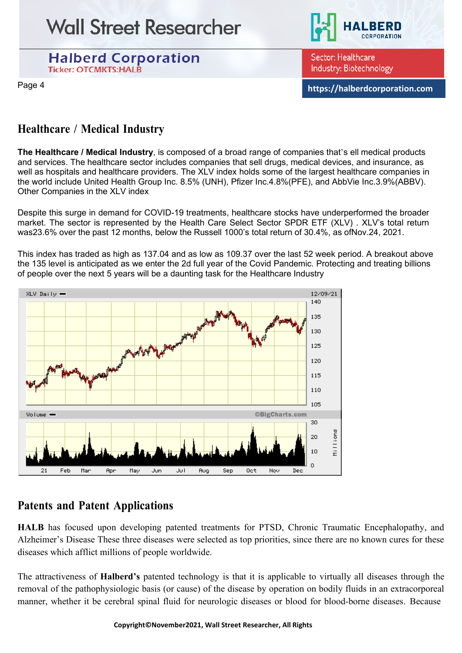



Sector: Healthcare Industry: Biotechnology

Page <sup>4</sup> **[https://halberdcorporation.com](https://halberdcorporation.com/)**

### **Healthcare / Medical Industry**

**The Healthcare / Medical Industry**, is composed of a broad range of companies that's ell medical products and services. The [healthcare](https://www.investopedia.com/terms/h/health_care_sector.asp) sector includes companies that sell drugs, medical devices, and insurance, as well as hospitals and healthcare providers. The XLV index holds some of the largest healthcare companies in the world include United Health Group Inc. 8.5% [\(UNH\)](https://www.investopedia.com/markets/quote?tvwidgetsymbol=UNH), Pfizer [Inc.4.8%\(PFE\),](https://www.investopedia.com/markets/quote?tvwidgetsymbol=pfe) and AbbVie Inc.3.9[%\(ABBV](https://www.investopedia.com/markets/quote?tvwidgetsymbol=ABBV)[\).](https://www.marketwatch.com/investing/fund/xlv/holdings) [Other Companies in](https://www.marketwatch.com/investing/fund/xlv/holdings) the XLV index

Despite this surge in demand for COVID-19 treatments, healthcare stocks have underperformed the broader market. The sector is represented by the Health Care Select Sector SPDR ETF [\(XLV\) .](https://www.investopedia.com/markets/quote?tvwidgetsymbol=XLV) XLV's total return was23.6% over the past 12 months, below the Russell 1000's total return of 30.4%, as ofNov.24, 2021.

This index has traded as high as 137.04 and as low as 109.37 over the last 52 week period. A breakout above the 135 level is anticipated as we enter the 2d full year of the Covid Pandemic. Protecting and treating billions of people over the next 5 years will be a daunting task for the Healthcare Industry



### **Patents and Patent Applications**

**HALB** has focused upon developing patented treatments for PTSD, Chronic Traumatic Encephalopathy, and Alzheimer's Disease These three diseases were selected as top priorities, since there are no known cures for these diseases which afflict millions of people worldwide.

The attractiveness of **Halberd's** patented technology is that it is applicable to virtually all diseases through the removal of the pathophysiologic basis (or cause) of the disease by operation on bodily fluids in an extracorporeal manner, whether it be cerebral spinal fluid for neurologic diseases or blood for blood-borne diseases. Because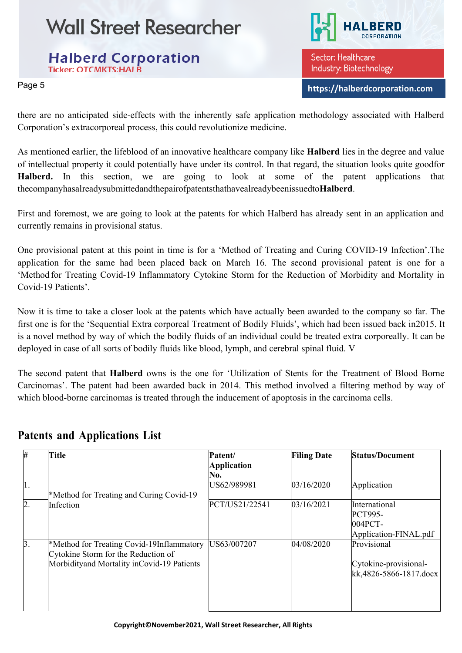**Halberd Corporation Ticker: OTCMKTS:HALB** 

Sector: Healthcare Industry: Biotechnology

Page <sup>5</sup> **[https://halberdcorporation.com](https://halberdcorporation.com/)**

there are no anticipated side-effects with the inherently safe application methodology associated with Halberd Corporation's extracorporeal process, this could revolutionize medicine.

As mentioned earlier, the lifeblood of an innovative healthcare company like **Halberd** lies in the degree and value of intellectual property it could potentially have under its control. In that regard, the situation looks quite goodfor **Halberd.** In this section, we are going to look at some of the patent applications that thecompanyhasalreadysubmittedandthepairofpatentsthathavealreadybeenissuedto**Halberd**.

First and foremost, we are going to look at the patents for which Halberd has already sent in an application and currently remains in provisional status.

One provisional patent at this point in time is for a 'Method of Treating and Curing COVID-19 Infection'.The application for the same had been placed back on March 16. The second provisional patent is one for a 'Method for Treating Covid-19 Inflammatory Cytokine Storm for the Reduction of Morbidity and Mortality in Covid-19 Patients'.

Now it is time to take a closer look at the patents which have actually been awarded to the company so far. The first one is for the 'Sequential Extra corporeal Treatment of Bodily Fluids', which had been issued back in2015. It is a novel method by way of which the bodily fluids of an individual could be treated extra corporeally. It can be deployed in case of all sorts of bodily fluids like blood, lymph, and cerebral spinal fluid. V

The second patent that **Halberd** owns is the one for 'Utilization of Stents for the Treatment of Blood Borne Carcinomas'. The patent had been awarded back in 2014. This method involved a filtering method by way of which blood-borne carcinomas is treated through the inducement of apoptosis in the carcinoma cells.

| #         | Title                                                                                                                          | Patent/<br><b>Application</b><br>No. | <b>Filing Date</b> | <b>Status/Document</b>                                              |
|-----------|--------------------------------------------------------------------------------------------------------------------------------|--------------------------------------|--------------------|---------------------------------------------------------------------|
| 1.        | *Method for Treating and Curing Covid-19                                                                                       | US62/989981                          | 03/16/2020         | Application                                                         |
| 2.        | Infection                                                                                                                      | PCT/US21/22541                       | 03/16/2021         | International<br><b>PCT995-</b><br>004PCT-<br>Application-FINAL.pdf |
| $\beta$ . | *Method for Treating Covid-19Inflammatory<br>Cytokine Storm for the Reduction of<br>Morbidityand Mortality inCovid-19 Patients | US63/007207                          | 04/08/2020         | Provisional<br>Cytokine-provisional-<br>kk,4826-5866-1817.docx      |

### **Patents and Applications List**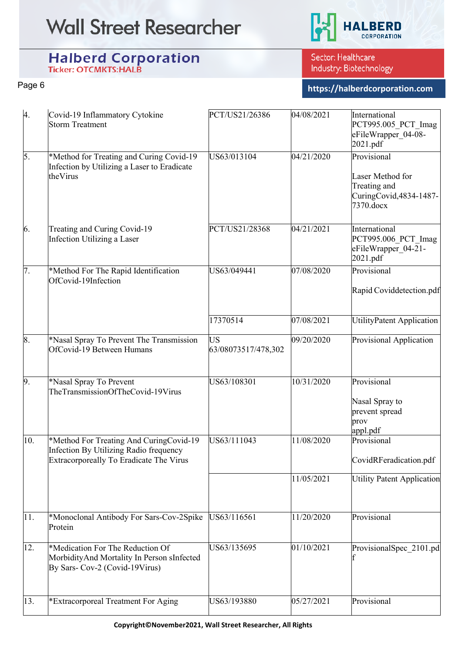

# Halberd Corporation

Sector: Healthcare Industry: Biotechnology

Page <sup>6</sup> **[https://halberdcorporation.com](https://halberdcorporation.com/)**

| 4.               | Covid-19 Inflammatory Cytokine<br><b>Storm Treatment</b>                                                                     | PCT/US21/26386                   | 04/08/2021             | International<br>PCT995.005 PCT Imag<br>eFileWrapper_04-08-<br>2021.pdf                 |
|------------------|------------------------------------------------------------------------------------------------------------------------------|----------------------------------|------------------------|-----------------------------------------------------------------------------------------|
| 5.               | *Method for Treating and Curing Covid-19<br>Infection by Utilizing a Laser to Eradicate<br>theVirus                          | US63/013104                      | 04/21/2020             | Provisional<br>Laser Method for<br>Treating and<br>CuringCovid, 4834-1487-<br>7370.docx |
| 6.               | Treating and Curing Covid-19<br>Infection Utilizing a Laser                                                                  | PCT/US21/28368                   | 04/21/2021             | International<br>PCT995.006 PCT Imag<br>eFileWrapper 04-21-<br>2021.pdf                 |
| $\overline{7}$ . | *Method For The Rapid Identification<br>OfCovid-19Infection                                                                  | US63/049441                      | 07/08/2020             | Provisional<br>Rapid Coviddetection.pdf                                                 |
|                  |                                                                                                                              | 17370514                         | 07/08/2021             | <b>UtilityPatent Application</b>                                                        |
| 8.               | *Nasal Spray To Prevent The Transmission<br>OfCovid-19 Between Humans                                                        | <b>US</b><br>63/08073517/478,302 | 09/20/2020             | Provisional Application                                                                 |
| 9.               | *Nasal Spray To Prevent<br>TheTransmissionOfTheCovid-19Virus                                                                 | US63/108301                      | 10/31/2020             | Provisional<br>Nasal Spray to<br>prevent spread<br>prov<br>appl.pdf                     |
| 10.              | *Method For Treating And CuringCovid-19<br>Infection By Utilizing Radio frequency<br>Extracorporeally To Eradicate The Virus | US63/111043                      | 11/08/2020             | Provisional<br>CovidRFeradication.pdf                                                   |
|                  |                                                                                                                              |                                  | 11/05/2021             | <b>Utility Patent Application</b>                                                       |
| 11.              | *Monoclonal Antibody For Sars-Cov-2Spike<br>Protein                                                                          | US63/116561                      | 11/20/2020             | Provisional                                                                             |
| 12.              | *Medication For The Reduction Of<br>MorbidityAnd Mortality In Person sInfected<br>By Sars- Cov-2 (Covid-19Virus)             | US63/135695                      | $01/10\overline{2021}$ | ProvisionalSpec 2101.pd                                                                 |
| 13.              | *Extracorporeal Treatment For Aging                                                                                          | US63/193880                      | 05/27/2021             | Provisional                                                                             |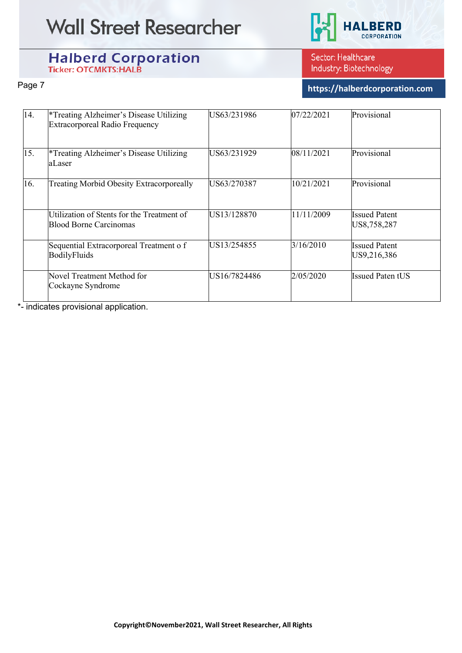

# Halberd Corporation

Sector: Healthcare Industry: Biotechnology

Page <sup>7</sup> **[https://halberdcorporation.com](https://halberdcorporation.com/)**

| 14. | <sup>*</sup> Treating Alzheimer's Disease Utilizing<br>Extracorporeal Radio Frequency | US63/231986  | 07/22/2021 | Provisional                         |
|-----|---------------------------------------------------------------------------------------|--------------|------------|-------------------------------------|
| 15. | <sup>*</sup> Treating Alzheimer's Disease Utilizing<br>aLaser                         | US63/231929  | 08/11/2021 | Provisional                         |
| 16. | <b>Treating Morbid Obesity Extracorporeally</b>                                       | US63/270387  | 10/21/2021 | Provisional                         |
|     | Utilization of Stents for the Treatment of<br>Blood Borne Carcinomas                  | US13/128870  | 11/11/2009 | <b>Issued Patent</b><br>US8,758,287 |
|     | Sequential Extracorporeal Treatment o f<br>BodilyFluids                               | US13/254855  | 3/16/2010  | <b>Issued Patent</b><br>US9,216,386 |
|     | Novel Treatment Method for<br>Cockayne Syndrome                                       | US16/7824486 | 2/05/2020  | <b>Issued Paten tUS</b>             |

\*- indicates provisional application.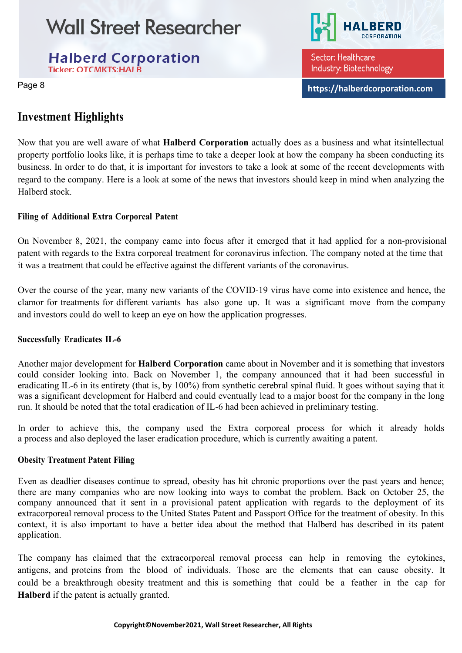**Halberd Corporation Ticker: OTCMKTS:HALB** 



Sector: Healthcare Industry: Biotechnology

Page <sup>8</sup> **[https://halberdcorporation.com](https://halberdcorporation.com/)**

### **Investment Highlights**

Now that you are well aware of what **Halberd Corporation** actually does as a business and what itsintellectual property portfolio looks like, it is perhaps time to take a deeper look at how the company ha sbeen conducting its business. In order to do that, it is important for investors to take a look at some of the recent developments with regard to the company. Here is a look at some of the news that investors should keep in mind when analyzing the Halberd stock.

#### **Filing of Additional Extra Corporeal Patent**

On November 8, 2021, the company came into focus after it emerged that it had applied for a non-provisional patent with regards to the Extra corporeal treatment for coronavirus infection. The company noted at the time that it was a treatment that could be effective against the different variants of the coronavirus.

Over the course of the year, many new variants of the COVID-19 virus have come into existence and hence, the clamor for treatments for different variants has also gone up. It was a significant move from the company and investors could do well to keep an eye on how the application progresses.

#### **Successfully Eradicates IL-6**

Another major development for **Halberd Corporation** came about in November and it is something that investors could consider looking into. Back on November 1, the company announced that it had been successful in eradicating IL-6 in its entirety (that is, by 100%) from synthetic cerebral spinal fluid. It goes without saying that it was a significant development for Halberd and could eventually lead to a major boost for the company in the long run. It should be noted that the total eradication of IL-6 had been achieved in preliminary testing.

In order to achieve this, the company used the Extra corporeal process for which it already holds a process and also deployed the laser eradication procedure, which is currently awaiting a patent.

#### **Obesity Treatment Patent Filing**

Even as deadlier diseases continue to spread, obesity has hit chronic proportions over the past years and hence; there are many companies who are now looking into ways to combat the problem. Back on October 25, the company announced that it sent in a provisional patent application with regards to the deployment of its extracorporeal removal process to the United States Patent and Passport Office for the treatment of obesity. In this context, it is also important to have a better idea about the method that Halberd has described in its patent application.

The company has claimed that the extracorporeal removal process can help in removing the cytokines, antigens, and proteins from the blood of individuals. Those are the elements that can cause obesity. It could be a breakthrough obesity treatment and this is something that could be a feather in the cap for **Halberd** if the patent is actually granted.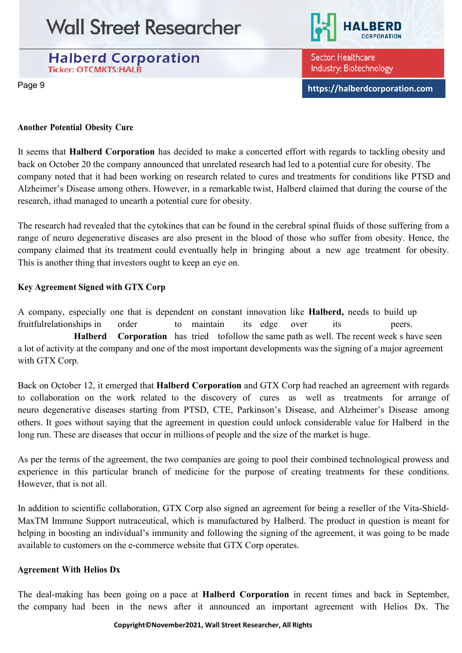



Sector: Healthcare Industry: Biotechnology

Page <sup>9</sup> **[https://halberdcorporation.com](https://halberdcorporation.com/)**

#### **Another Potential Obesity Cure**

It seems that **Halberd Corporation** has decided to make a concerted effort with regards to tackling obesity and back on October 20 the company announced that unrelated research had led to a potential cure for obesity. The company noted that it had been working on research related to cures and treatments for conditions like PTSD and Alzheimer's Disease among others. However, in a remarkable twist, Halberd claimed that during the course of the research, ithad managed to unearth a potential cure for obesity.

The research had revealed that the cytokines that can be found in the cerebral spinal fluids of those suffering from a range of neuro degenerative diseases are also present in the blood of those who suffer from obesity. Hence, the company claimed that its treatment could eventually help in bringing about a new age treatment for obesity. This is another thing that investors ought to keep an eye on.

#### **Key Agreement Signed with GTX Corp**

A company, especially one that is dependent on constant innovation like **Halberd,** needs to build up fruitfulrelationships in order to maintain its edge over its peers. **Halberd Corporation** has tried tofollow the same path as well. The recent week s have seen a lot of activity at the company and one of the most important developments was the signing of a major agreement with GTX Corp.

Back on October 12, it emerged that **Halberd Corporation** and GTX Corp had reached an agreement with regards to collaboration on the work related to the discovery of cures as well as treatments for arrange of neuro degenerative diseases starting from PTSD, CTE, Parkinson's Disease, and Alzheimer's Disease among others. It goes without saying that the agreement in question could unlock considerable value for Halberd in the long run. These are diseases that occur in millions of people and the size of the market is huge.

As per the terms of the agreement, the two companies are going to pool their combined technological prowess and experience in this particular branch of medicine for the purpose of creating treatments for these conditions. However, that is not all.

In addition to scientific collaboration, GTX Corp also signed an agreement for being a reseller of the Vita-Shield-MaxTM Immune Support nutraceutical, which is manufactured by Halberd. The product in question is meant for helping in boosting an individual's immunity and following the signing of the agreement, it was going to be made available to customers on the e-commerce website that GTX Corp operates.

#### **Agreement With Helios Dx**

The deal-making has been going on a pace at **Halberd Corporation** in recent times and back in September, the company had been in the news after it announced an important agreement with Helios Dx. The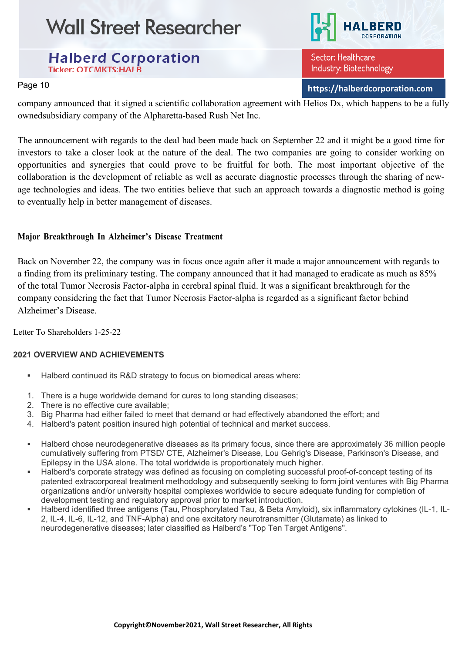



Sector: Healthcare Industry: Biotechnology

Page <sup>10</sup> **[https://halberdcorporation.com](https://halberdcorporation.com/)**

company announced that it signed a scientific collaboration agreement with Helios Dx, which happens to be a fully ownedsubsidiary company of the Alpharetta-based Rush Net Inc.

The announcement with regards to the deal had been made back on September 22 and it might be a good time for investors to take a closer look at the nature of the deal. The two companies are going to consider working on opportunities and synergies that could prove to be fruitful for both. The most important objective of the collaboration is the development of reliable as well as accurate diagnostic processes through the sharing of newage technologies and ideas. The two entities believe that such an approach towards a diagnostic method is going to eventually help in better management of diseases.

#### **Major Breakthrough In Alzheimer's Disease Treatment**

Back on November 22, the company was in focus once again after it made a major announcement with regards to a finding from its preliminary testing. The company announced that it had managed to eradicate as much as 85% of the total Tumor Necrosis Factor-alpha in cerebral spinal fluid. It was a significant breakthrough for the company considering the fact that Tumor Necrosis Factor-alpha is regarded as a significant factor behind Alzheimer's Disease.

Letter To Shareholders 1-25-22

#### **2021 OVERVIEW AND ACHIEVEMENTS**

- Halberd continued its R&D strategy to focus on biomedical areas where:
- 1. There is a huge worldwide demand for cures to long standing diseases;
- 2. There is no effective cure available;
- 3. Big Pharma had either failed to meet that demand or had effectively abandoned the effort; and
- 4. Halberd's patent position insured high potential of technical and market success.
- Halberd chose neurodegenerative diseases as its primary focus, since there are approximately 36 million people cumulatively suffering from PTSD/ CTE, Alzheimer's Disease, Lou Gehrig's Disease, Parkinson's Disease, and Epilepsy in the USA alone. The total worldwide is proportionately much higher.
- Halberd's corporate strategy was defined as focusing on completing successful proof-of-concept testing of its patented extracorporeal treatment methodology and subsequently seeking to form joint ventures with Big Pharma organizations and/or university hospital complexes worldwide to secure adequate funding for completion of development testing and regulatory approval prior to market introduction.
- Halberd identified three antigens (Tau, Phosphorylated Tau, & Beta Amyloid), six inflammatory cytokines (IL-1, IL-2, IL-4, IL-6, IL-12, and TNF-Alpha) and one excitatory neurotransmitter (Glutamate) as linked to neurodegenerative diseases; later classified as Halberd's "Top Ten Target Antigens".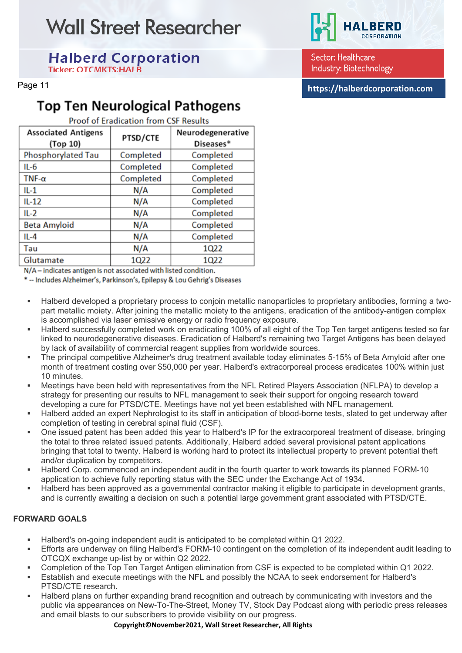### **Halberd Corporation Ticker: OTCMKTS:HALB**

# **Top Ten Neurological Pathogens**

**Proof of Eradication from CSF Results** 

| <b>Associated Antigens</b><br>(Top 10) | PTSD/CTE  | Neurodegenerative<br>Diseases* |
|----------------------------------------|-----------|--------------------------------|
| Phosphorylated Tau                     | Completed | Completed                      |
| $IL-6$                                 | Completed | Completed                      |
| TNF- $\alpha$                          | Completed | Completed                      |
| $IL-1$                                 | N/A       | Completed                      |
| $IL-12$                                | N/A       | Completed                      |
| $IL-2$                                 | N/A       | Completed                      |
| <b>Beta Amyloid</b>                    | N/A       | Completed                      |
| $IL-4$                                 | N/A       | Completed                      |
| Tau                                    | N/A       | 1Q22                           |
| Glutamate                              | 1Q22      | 1Q22                           |

N/A - indicates antigen is not associated with listed condition.

\*- Includes Alzheimer's, Parkinson's, Epilepsy & Lou Gehrig's Diseases

- Halberd developed a proprietary process to conjoin metallic nanoparticles to proprietary antibodies, forming a twopart metallic moiety. After joining the metallic moiety to the antigens, eradication of the antibody-antigen complex is accomplished via laser emissive energy or radio frequency exposure.
- Halberd successfully completed work on eradicating 100% of all eight of the Top Ten target antigens tested so far linked to neurodegenerative diseases. Eradication of Halberd's remaining two Target Antigens has been delayed by lack of availability of commercial reagent supplies from worldwide sources.
- The principal competitive Alzheimer's drug treatment available today eliminates 5-15% of Beta Amyloid after one month of treatment costing over \$50,000 per year. Halberd's extracorporeal process eradicates 100% within just 10 minutes.
- Meetings have been held with representatives from the NFL Retired Players Association (NFLPA) to develop a strategy for presenting our results to NFL management to seek their support for ongoing research toward developing a cure for PTSD/CTE. Meetings have not yet been established with NFL management.
- Halberd added an expert Nephrologist to its staff in anticipation of blood-borne tests, slated to get underway after completion of testing in cerebral spinal fluid (CSF).
- One issued patent has been added this year to Halberd's IP for the extracorporeal treatment of disease, bringing the total to three related issued patents. Additionally, Halberd added several provisional patent applications bringing that total to twenty. Halberd is working hard to protect its intellectual property to prevent potential theft and/or duplication by competitors.
- Halberd Corp. commenced an independent audit in the fourth quarter to work towards its planned FORM-10 application to achieve fully reporting status with the SEC under the Exchange Act of 1934.
- Halberd has been approved as a governmental contractor making it eligible to participate in development grants, and is currently awaiting a decision on such a potential large government grant associated with PTSD/CTE.

#### **FORWARD GOALS**

- Halberd's on-going independent audit is anticipated to be completed within Q1 2022.
- Efforts are underway on filing Halberd's FORM-10 contingent on the completion of its independent audit leading to OTCQX exchange up-list by or within Q2 2022.
- Completion of the Top Ten Target Antigen elimination from CSF is expected to be completed within Q1 2022.
- Establish and execute meetings with the NFL and possibly the NCAA to seek endorsement for Halberd's PTSD/CTE research.
- Halberd plans on further expanding brand recognition and outreach by communicating with investors and the public via appearances on New-To-The-Street, Money TV, Stock Day Podcast along with periodic press releases and email blasts to our subscribers to provide visibility on our progress.

Page <sup>11</sup> **[https://halberdcorporation.com](https://halberdcorporation.com/)**

Sector: Healthcare

Industry: Biotechnology

**Copyright©November2021, Wall Street Researcher, All Rights**

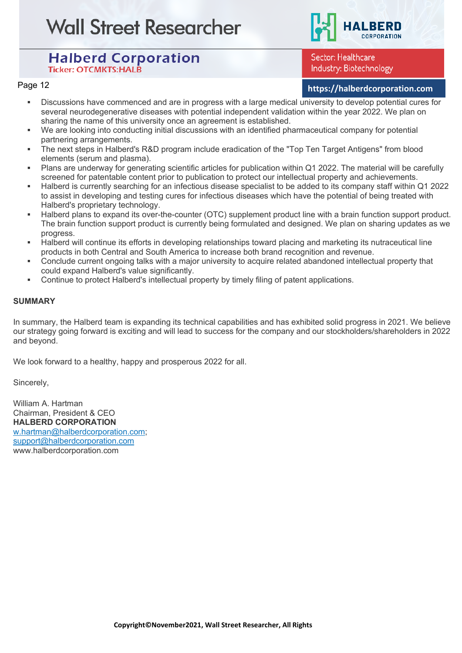

Sector: Healthcare Industry: Biotechnology

### Page <sup>12</sup> **[https://halberdcorporation.com](https://halberdcorporation.com/)**

- Discussions have commenced and are in progress with a large medical university to develop potential cures for several neurodegenerative diseases with potential independent validation within the year 2022. We plan on sharing the name of this university once an agreement is established.
- We are looking into conducting initial discussions with an identified pharmaceutical company for potential partnering arrangements.
- The next steps in Halberd's R&D program include eradication of the "Top Ten Target Antigens" from blood elements (serum and plasma).
- Plans are underway for generating scientific articles for publication within Q1 2022. The material will be carefully screened for patentable content prior to publication to protect our intellectual property and achievements.
- Halberd is currently searching for an infectious disease specialist to be added to its company staff within Q1 2022 to assist in developing and testing cures for infectious diseases which have the potential of being treated with Halberd's proprietary technology.
- Halberd plans to expand its over-the-counter (OTC) supplement product line with a brain function support product. The brain function support product is currently being formulated and designed. We plan on sharing updates as we progress.
- Halberd will continue its efforts in developing relationships toward placing and marketing its nutraceutical line products in both Central and South America to increase both brand recognition and revenue.
- Conclude current ongoing talks with a major university to acquire related abandoned intellectual property that could expand Halberd's value significantly.
- Continue to protect Halberd's intellectual property by timely filing of patent applications.

#### **SUMMARY**

In summary, the Halberd team is expanding its technical capabilities and has exhibited solid progress in 2021. We believe our strategy going forward is exciting and will lead to success for the company and our stockholders/shareholders in 2022 and beyond.

We look forward to a healthy, happy and prosperous 2022 for all.

Sincerely,

William A. Hartman Chairman, President & CEO **HALBERD CORPORATION** [w.hartman@halberdcorporation.com;](mailto:w.hartman@halberdcorporation.com) [support@halberdcorporation.com](mailto:support@halberdcorporation.com) www.halberdcorporation.com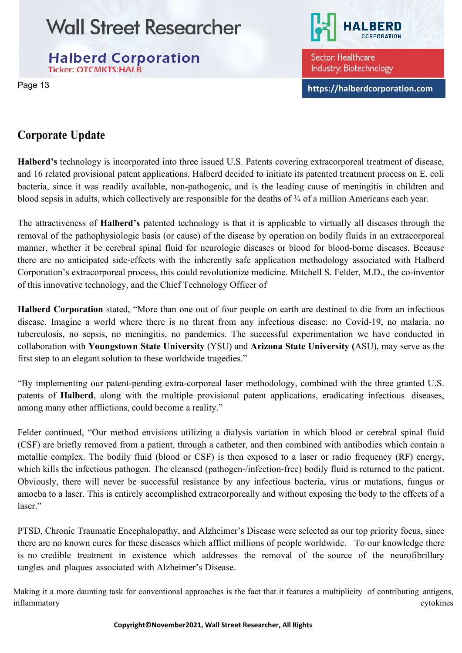



Sector: Healthcare Industry: Biotechnology

Page <sup>13</sup> **[https://halberdcorporation.com](https://halberdcorporation.com/)**

### **Corporate Update**

**Halberd's** technology is incorporated into three issued U.S. Patents covering extracorporeal treatment of disease, and 16 related provisional patent applications. Halberd decided to initiate its patented treatment process on E. coli bacteria, since it was readily available, non-pathogenic, and is the leading cause of meningitis in children and blood sepsis in adults, which collectively are responsible for the deaths of ¾ of a million Americans each year.

The attractiveness of **Halberd's** patented technology is that it is applicable to virtually all diseases through the removal of the pathophysiologic basis (or cause) of the disease by operation on bodily fluids in an extracorporeal manner, whether it be cerebral spinal fluid for neurologic diseases or blood for blood-borne diseases. Because there are no anticipated side-effects with the inherently safe application methodology associated with Halberd Corporation's extracorporeal process, this could revolutionize medicine. Mitchell S. Felder, M.D., the co-inventor of this innovative technology, and the Chief Technology Officer of

**Halberd Corporation** stated, "More than one out of four people on earth are destined to die from an infectious disease. Imagine a world where there is no threat from any infectious disease: no Covid-19, no malaria, no tuberculosis, no sepsis, no meningitis, no pandemics. The successful experimentation we have conducted in collaboration with **Youngstown State University** (YSU) and **Arizona State University (**ASU), may serve as the first step to an elegant solution to these worldwide tragedies."

"By implementing our patent-pending extra-corporeal laser methodology, combined with the three granted U.S. patents of **Halberd**, along with the multiple provisional patent applications, eradicating infectious diseases, among many other afflictions, could become a reality."

Felder continued, "Our method envisions utilizing a dialysis variation in which blood or cerebral spinal fluid (CSF) are briefly removed from a patient, through a catheter, and then combined with antibodies which contain a metallic complex. The bodily fluid (blood or CSF) is then exposed to a laser or radio frequency (RF) energy, which kills the infectious pathogen. The cleansed (pathogen-/infection-free) bodily fluid is returned to the patient. Obviously, there will never be successful resistance by any infectious bacteria, virus or mutations, fungus or amoeba to a laser. This is entirely accomplished extracorporeally and without exposing the body to the effects of a laser."

PTSD, Chronic Traumatic Encephalopathy, and Alzheimer's Disease were selected as our top priority focus, since there are no known cures for these diseases which afflict millions of people worldwide. To our knowledge there is no credible treatment in existence which addresses the removal of the source of the neurofibrillary tangles and plaques associated with Alzheimer's Disease.

Making it a more daunting task for conventional approaches is the fact that it features a multiplicity of contributing antigens, inflammatory cytokines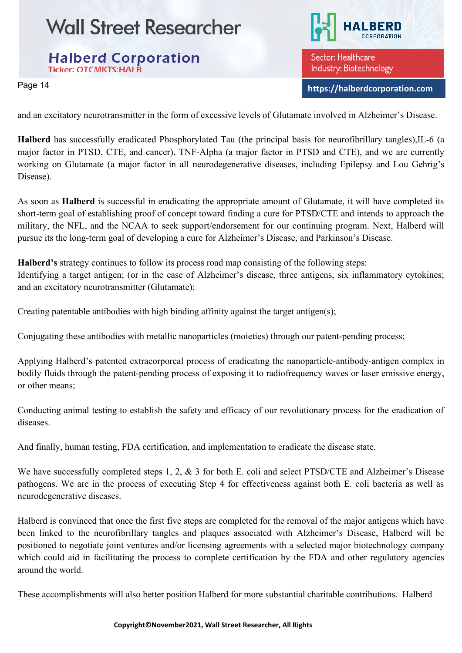#### **Halberd Corporation Ticker: OTCMKTS:HALB**

Sector: Healthcare Industry: Biotechnology

Page <sup>14</sup> **[https://halberdcorporation.com](https://halberdcorporation.com/)**

and an excitatory neurotransmitter in the form of excessive levels of Glutamate involved in Alzheimer's Disease.

**Halberd** has successfully eradicated Phosphorylated Tau (the principal basis for neurofibrillary tangles),IL-6 (a major factor in PTSD, CTE, and cancer), TNF-Alpha (a major factor in PTSD and CTE), and we are currently working on Glutamate (a major factor in all neurodegenerative diseases, including Epilepsy and Lou Gehrig's Disease).

As soon as **Halberd** is successful in eradicating the appropriate amount of Glutamate, it will have completed its short-term goal of establishing proof of concept toward finding a cure for PTSD/CTE and intends to approach the military, the NFL, and the NCAA to seek support/endorsement for our continuing program. Next, Halberd will pursue its the long-term goal of developing a cure for Alzheimer's Disease, and Parkinson's Disease.

**Halberd's** strategy continues to follow its process road map consisting of the following steps: Identifying a target antigen; (or in the case of Alzheimer's disease, three antigens, six inflammatory cytokines; and an excitatory neurotransmitter (Glutamate);

Creating patentable antibodies with high binding affinity against the target antigen(s);

Conjugating these antibodies with metallic nanoparticles (moieties) through our patent-pending process;

Applying Halberd's patented extracorporeal process of eradicating the nanoparticle-antibody-antigen complex in bodily fluids through the patent-pending process of exposing it to radiofrequency waves or laser emissive energy, or other means;

Conducting animal testing to establish the safety and efficacy of our revolutionary process for the eradication of diseases.

And finally, human testing, FDA certification, and implementation to eradicate the disease state.

We have successfully completed steps 1, 2, & 3 for both E. coli and select PTSD/CTE and Alzheimer's Disease pathogens. We are in the process of executing Step 4 for effectiveness against both E. coli bacteria as well as neurodegenerative diseases.

Halberd is convinced that once the first five steps are completed for the removal of the major antigens which have been linked to the neurofibrillary tangles and plaques associated with Alzheimer's Disease, Halberd will be positioned to negotiate joint ventures and/or licensing agreements with a selected major biotechnology company which could aid in facilitating the process to complete certification by the FDA and other regulatory agencies around the world.

These accomplishments will also better position Halberd for more substantial charitable contributions. Halberd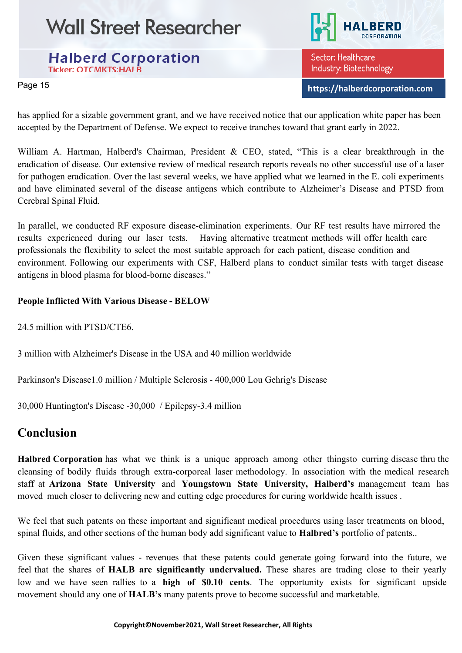**Halberd Corporation Ticker: OTCMKTS:HALB** 



Sector: Healthcare Industry: Biotechnology

Page <sup>15</sup> **[https://halberdcorporation.com](https://halberdcorporation.com/)**

has applied for a sizable government grant, and we have received notice that our application white paper has been accepted by the Department of Defense. We expect to receive tranches toward that grant early in 2022.

William A. Hartman, Halberd's Chairman, President & CEO, stated, "This is a clear breakthrough in the eradication of disease. Our extensive review of medical research reports reveals no other successful use of a laser for pathogen eradication. Over the last several weeks, we have applied what we learned in the E. coli experiments and have eliminated several of the disease antigens which contribute to Alzheimer's Disease and PTSD from Cerebral Spinal Fluid.

In parallel, we conducted RF exposure disease-elimination experiments. Our RF test results have mirrored the results experienced during our laser tests. Having alternative treatment methods will offer health care professionals the flexibility to select the most suitable approach for each patient, disease condition and environment. Following our experiments with CSF, Halberd plans to conduct similar tests with target disease antigens in blood plasma for blood-borne diseases."

#### **People Inflicted With Various Disease - BELOW**

24.5 million with PTSD/CTE6.

3 million with Alzheimer's Disease in the USA and 40 million worldwide

Parkinson's Disease1.0 million / Multiple Sclerosis - 400,000 Lou Gehrig's Disease

30,000 Huntington's Disease -30,000 / Epilepsy-3.4 million

### **Conclusion**

**Halbred Corporation** has what we think is a unique approach among other thingsto curring disease thru the cleansing of bodily fluids through extra-corporeal laser methodology. In association with the medical research staff at **Arizona State University** and **Youngstown State University, Halberd's** management team has moved much closer to delivering new and cutting edge procedures for curing worldwide health issues .

We feel that such patents on these important and significant medical procedures using laser treatments on blood, spinal fluids, and other sections of the human body add significant value to **Halbred's** portfolio of patents..

Given these significant values - revenues that these patents could generate going forward into the future, we feel that the shares of **HALB are significantly undervalued.** These shares are trading close to their yearly low and we have seen rallies to a **high of \$0.10 cents**. The opportunity exists for significant upside movement should any one of **HALB's** many patents prove to become successful and marketable.